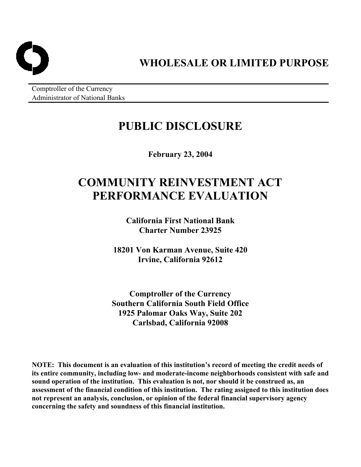

**WHOLESALE OR LIMITED PURPOSE** 

Comptroller of the Currency Administrator of National Banks

# **PUBLIC DISCLOSURE**

**February 23, 2004** 

# **COMMUNITY REINVESTMENT ACT PERFORMANCE EVALUATION**

**California First National Bank Charter Number 23925** 

**18201 Von Karman Avenue, Suite 420 Irvine, California 92612** 

**Comptroller of the Currency Southern California South Field Office 1925 Palomar Oaks Way, Suite 202 Carlsbad, California 92008** 

**NOTE: This document is an evaluation of this institution's record of meeting the credit needs of its entire community, including low- and moderate-income neighborhoods consistent with safe and sound operation of the institution. This evaluation is not, nor should it be construed as, an assessment of the financial condition of this institution. The rating assigned to this institution does not represent an analysis, conclusion, or opinion of the federal financial supervisory agency concerning the safety and soundness of this financial institution.**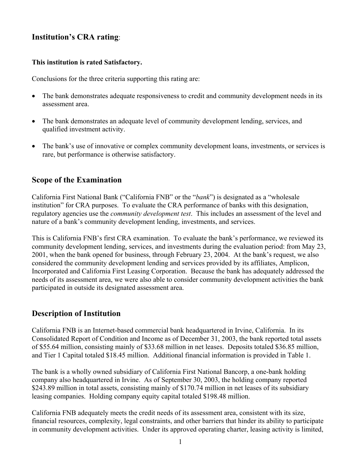# **Institution's CRA rating**:

## **This institution is rated Satisfactory.**

Conclusions for the three criteria supporting this rating are:

- The bank demonstrates adequate responsiveness to credit and community development needs in its assessment area.
- The bank demonstrates an adequate level of community development lending, services, and qualified investment activity.
- The bank's use of innovative or complex community development loans, investments, or services is rare, but performance is otherwise satisfactory.

# **Scope of the Examination**

California First National Bank ("California FNB" or the "*bank*") is designated as a "wholesale institution" for CRA purposes. To evaluate the CRA performance of banks with this designation, regulatory agencies use the *community development test*. This includes an assessment of the level and nature of a bank's community development lending, investments, and services.

This is California FNB's first CRA examination. To evaluate the bank's performance, we reviewed its community development lending, services, and investments during the evaluation period: from May 23, 2001, when the bank opened for business, through February 23, 2004. At the bank's request, we also considered the community development lending and services provided by its affiliates, Amplicon, Incorporated and California First Leasing Corporation. Because the bank has adequately addressed the needs of its assessment area, we were also able to consider community development activities the bank participated in outside its designated assessment area.

# **Description of Institution**

California FNB is an Internet-based commercial bank headquartered in Irvine, California. In its Consolidated Report of Condition and Income as of December 31, 2003, the bank reported total assets of \$55.64 million, consisting mainly of \$33.68 million in net leases. Deposits totaled \$36.85 million, and Tier 1 Capital totaled \$18.45 million. Additional financial information is provided in Table 1.

The bank is a wholly owned subsidiary of California First National Bancorp, a one-bank holding company also headquartered in Irvine. As of September 30, 2003, the holding company reported \$243.89 million in total assets, consisting mainly of \$170.74 million in net leases of its subsidiary leasing companies. Holding company equity capital totaled \$198.48 million.

California FNB adequately meets the credit needs of its assessment area, consistent with its size, financial resources, complexity, legal constraints, and other barriers that hinder its ability to participate in community development activities. Under its approved operating charter, leasing activity is limited,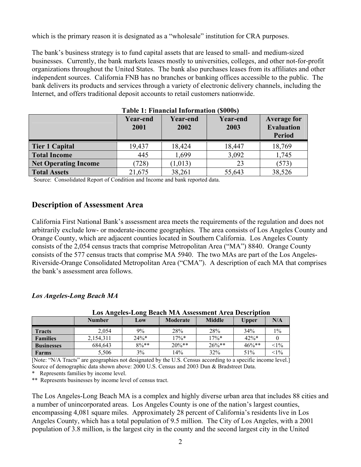which is the primary reason it is designated as a "wholesale" institution for CRA purposes.

The bank's business strategy is to fund capital assets that are leased to small- and medium-sized businesses. Currently, the bank markets leases mostly to universities, colleges, and other not-for-profit organizations throughout the United States. The bank also purchases leases from its affiliates and other independent sources. California FNB has no branches or banking offices accessible to the public. The bank delivers its products and services through a variety of electronic delivery channels, including the Internet, and offers traditional deposit accounts to retail customers nationwide.

|                             | <b>Year-end</b><br>2001 | <b>Year-end</b><br>2002 | ,,,,,,,<br><b>Year-end</b><br>2003 | <b>Average for</b><br><b>Evaluation</b><br><b>Period</b> |
|-----------------------------|-------------------------|-------------------------|------------------------------------|----------------------------------------------------------|
| <b>Tier 1 Capital</b>       | 19,437                  | 18,424                  | 18,447                             | 18,769                                                   |
| <b>Total Income</b>         | 445                     | 1.699                   | 3,092                              | 1,745                                                    |
| <b>Net Operating Income</b> | 728)                    | (1,013)                 | 23                                 | (573)                                                    |
| <b>Total Assets</b>         | 21,675                  | 38,261                  | 55,643                             | 38,526                                                   |

|  |  | Table 1: Financial Information (\$000s) |  |
|--|--|-----------------------------------------|--|
|--|--|-----------------------------------------|--|

Source: Consolidated Report of Condition and Income and bank reported data.

# **Description of Assessment Area**

California First National Bank's assessment area meets the requirements of the regulation and does not arbitrarily exclude low- or moderate-income geographies. The area consists of Los Angeles County and Orange County, which are adjacent counties located in Southern California. Los Angeles County consists of the 2,054 census tracts that comprise Metropolitan Area ("MA") 8840. Orange County consists of the 577 census tracts that comprise MA 5940. The two MAs are part of the Los Angeles-Riverside-Orange Consolidated Metropolitan Area ("CMA"). A description of each MA that comprises the bank's assessment area follows.

#### *Los Angeles-Long Beach MA*

| Los Angeles Long Deach Max Assessment An ea Description |               |         |          |               |              |        |
|---------------------------------------------------------|---------------|---------|----------|---------------|--------------|--------|
|                                                         | <b>Number</b> | Low     | Moderate | <b>Middle</b> | <b>Upper</b> | N/A    |
| <b>Tracts</b>                                           | 2.054         | $9\%$   | 28%      | 28%           | 34%          | $1\%$  |
| <b>Families</b>                                         | 2,154,311     | $24\%*$ | $17\%*$  | $17\%*$       | $42\%*$      |        |
| <b>Businesses</b>                                       | 684,643       | $8\%**$ | $20\%**$ | $26\%**$      | $46\%**$     | $<1\%$ |
| <b>Farms</b>                                            | 5,506         | 3%      | 14%      | 32%           | 51%          | $<1\%$ |

 **Los Angeles-Long Beach MA Assessment Area Description** 

[Note: "N/A Tracts" are geographies not designated by the U.S. Census according to a specific income level.] Source of demographic data shown above: 2000 U.S. Census and 2003 Dun & Bradstreet Data.

\* Represents families by income level.

\*\* Represents businesses by income level of census tract.

The Los Angeles-Long Beach MA is a complex and highly diverse urban area that includes 88 cities and a number of unincorporated areas. Los Angeles County is one of the nation's largest counties, encompassing 4,081 square miles. Approximately 28 percent of California's residents live in Los Angeles County, which has a total population of 9.5 million. The City of Los Angeles, with a 2001 population of 3.8 million, is the largest city in the county and the second largest city in the United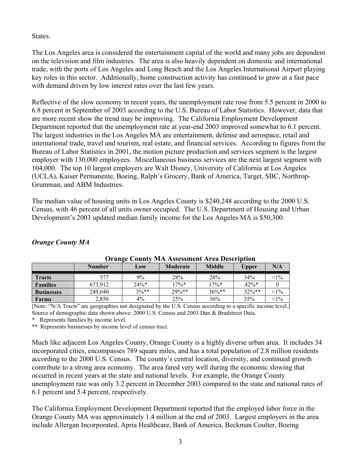**States**.

The Los Angeles area is considered the entertainment capital of the world and many jobs are dependent on the television and film industries. The area is also heavily dependent on domestic and international trade, with the ports of Los Angeles and Long Beach and the Los Angeles International Airport playing key roles in this sector. Additionally, home construction activity has continued to grow at a fast pace with demand driven by low interest rates over the last few years.

Reflective of the slow economy in recent years, the unemployment rate rose from 5.5 percent in 2000 to 6.8 percent in September of 2003 according to the U.S. Bureau of Labor Statistics. However, data that are more recent show the trend may be improving. The California Employment Development Department reported that the unemployment rate at year-end 2003 improved somewhat to 6.1 percent. The largest industries in the Los Angeles MA are entertainment, defense and aerospace, retail and international trade, travel and tourism, real estate, and financial services. According to figures from the Bureau of Labor Statistics in 2001, the motion picture production and services segment is the largest employer with 130,000 employees. Miscellaneous business services are the next largest segment with 104,000. The top 10 largest employers are Walt Disney, University of California at Los Angeles (UCLA), Kaiser Permanente, Boeing, Ralph's Grocery, Bank of America, Target, SBC, Northrop-Grumman, and ABM Industries.

The median value of housing units in Los Angeles County is \$240,248 according to the 2000 U.S. Census, with 46 percent of all units owner occupied. The U.S. Department of Housing and Urban Development's 2003 updated median family income for the Los Angeles MA is \$50,300.

| <b>Orange County MA Assessment Area Description</b> |               |         |          |               |              |        |
|-----------------------------------------------------|---------------|---------|----------|---------------|--------------|--------|
|                                                     | <b>Number</b> | Low     | Moderate | <b>Middle</b> | <b>Upper</b> | N/A    |
| <b>Tracts</b>                                       | 577           | 9%      | 28%      | 28%           | 34%          | $<1\%$ |
| <b>Families</b>                                     | 673.912       | $24\%*$ | $17\%*$  | $17\%*$       | $42\%*$      |        |
| <b>Businesses</b>                                   | 249,640       | $3%**$  | $29\%**$ | $36\%**$      | $32\%**$     | $<1\%$ |
| Farms                                               | 2,856         | $4\%$   | 25%      | 36%           | 35%          | $<1\%$ |

# *Orange County MA*

[Note: "N/A Tracts" are geographies not designated by the U.S. Census according to a specific income level.] Source of demographic data shown above: 2000 U.S. Census and 2003 Dun & Bradstreet Data.

Represents families by income level.

\*\* Represents businesses by income level of census tract.

Much like adjacent Los Angeles County, Orange County is a highly diverse urban area. It includes 34 incorporated cities, encompasses 789 square miles, and has a total population of 2.8 million residents according to the 2000 U.S. Census. The county's central location, diversity, and continued growth contribute to a strong area economy. The area fared very well during the economic slowing that occurred in recent years at the state and national levels. For example, the Orange County unemployment rate was only 3.2 percent in December 2003 compared to the state and national rates of 6.1 percent and 5.4 percent, respectively.

The California Employment Development Department reported that the employed labor force in the Orange County MA was approximately 1.4 million at the end of 2003. Largest employers in the area include Allergan Incorporated, Apria Healthcare, Bank of America, Beckman Coulter, Boeing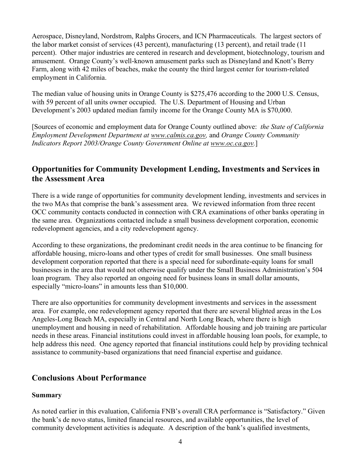Aerospace, Disneyland, Nordstrom, Ralphs Grocers, and ICN Pharmaceuticals. The largest sectors of the labor market consist of services (43 percent), manufacturing (13 percent), and retail trade (11 percent). Other major industries are centered in research and development, biotechnology, tourism and amusement. Orange County's well-known amusement parks such as Disneyland and Knott's Berry Farm, along with 42 miles of beaches, make the county the third largest center for tourism-related employment in California.

The median value of housing units in Orange County is \$275,476 according to the 2000 U.S. Census, with 59 percent of all units owner occupied. The U.S. Department of Housing and Urban Development's 2003 updated median family income for the Orange County MA is \$70,000.

[Sources of economic and employment data for Orange County outlined above: *the State of California Employment Development Department at www.calmis.ca.gov,* and *Orange County Community Indicators Report 2003/Orange County Government Online at www.oc.ca.gov.*]

# **Opportunities for Community Development Lending, Investments and Services in the Assessment Area**

There is a wide range of opportunities for community development lending, investments and services in the two MAs that comprise the bank's assessment area. We reviewed information from three recent OCC community contacts conducted in connection with CRA examinations of other banks operating in the same area. Organizations contacted include a small business development corporation, economic redevelopment agencies, and a city redevelopment agency.

According to these organizations, the predominant credit needs in the area continue to be financing for affordable housing, micro-loans and other types of credit for small businesses. One small business development corporation reported that there is a special need for subordinate-equity loans for small businesses in the area that would not otherwise qualify under the Small Business Administration's 504 loan program. They also reported an ongoing need for business loans in small dollar amounts, especially "micro-loans" in amounts less than \$10,000.

There are also opportunities for community development investments and services in the assessment area. For example, one redevelopment agency reported that there are several blighted areas in the Los Angeles-Long Beach MA, especially in Central and North Long Beach, where there is high unemployment and housing in need of rehabilitation. Affordable housing and job training are particular needs in these areas. Financial institutions could invest in affordable housing loan pools, for example, to help address this need. One agency reported that financial institutions could help by providing technical assistance to community-based organizations that need financial expertise and guidance.

# **Conclusions About Performance**

## **Summary**

As noted earlier in this evaluation, California FNB's overall CRA performance is "Satisfactory." Given the bank's de novo status, limited financial resources, and available opportunities, the level of community development activities is adequate. A description of the bank's qualified investments,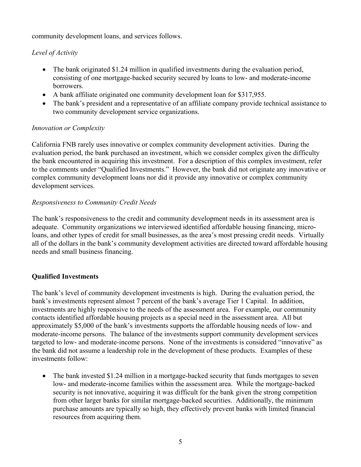community development loans, and services follows.

# *Level of Activity*

- The bank originated \$1.24 million in qualified investments during the evaluation period, consisting of one mortgage-backed security secured by loans to low- and moderate-income borrowers.
- A bank affiliate originated one community development loan for \$317,955.
- The bank's president and a representative of an affiliate company provide technical assistance to two community development service organizations.

## *Innovation or Complexity*

California FNB rarely uses innovative or complex community development activities. During the evaluation period, the bank purchased an investment, which we consider complex given the difficulty the bank encountered in acquiring this investment. For a description of this complex investment, refer to the comments under "Qualified Investments." However, the bank did not originate any innovative or complex community development loans nor did it provide any innovative or complex community development services.

## *Responsiveness to Community Credit Needs*

The bank's responsiveness to the credit and community development needs in its assessment area is adequate. Community organizations we interviewed identified affordable housing financing, microloans, and other types of credit for small businesses, as the area's most pressing credit needs. Virtually all of the dollars in the bank's community development activities are directed toward affordable housing needs and small business financing.

## **Qualified Investments**

The bank's level of community development investments is high. During the evaluation period, the bank's investments represent almost 7 percent of the bank's average Tier 1 Capital. In addition, investments are highly responsive to the needs of the assessment area. For example, our community contacts identified affordable housing projects as a special need in the assessment area. All but approximately \$5,000 of the bank's investments supports the affordable housing needs of low- and moderate-income persons. The balance of the investments support community development services targeted to low- and moderate-income persons. None of the investments is considered "innovative" as the bank did not assume a leadership role in the development of these products. Examples of these investments follow:

• The bank invested \$1.24 million in a mortgage-backed security that funds mortgages to seven low- and moderate-income families within the assessment area. While the mortgage-backed security is not innovative, acquiring it was difficult for the bank given the strong competition from other larger banks for similar mortgage-backed securities. Additionally, the minimum purchase amounts are typically so high, they effectively prevent banks with limited financial resources from acquiring them.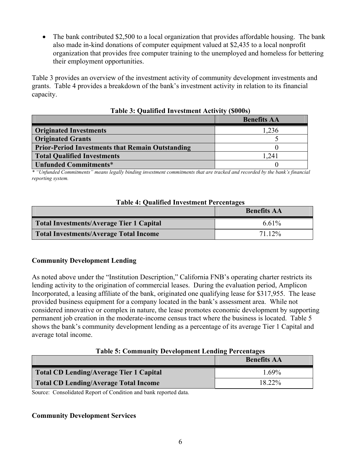• The bank contributed \$2,500 to a local organization that provides affordable housing. The bank also made in-kind donations of computer equipment valued at \$2,435 to a local nonprofit organization that provides free computer training to the unemployed and homeless for bettering their employment opportunities.

Table 3 provides an overview of the investment activity of community development investments and grants. Table 4 provides a breakdown of the bank's investment activity in relation to its financial capacity.

|                                                         | <b>Benefits AA</b> |
|---------------------------------------------------------|--------------------|
| <b>Originated Investments</b>                           | 1,236              |
| <b>Originated Grants</b>                                |                    |
| <b>Prior-Period Investments that Remain Outstanding</b> |                    |
| <b>Total Qualified Investments</b>                      | 1.241              |
| Unfunded Commitments*                                   |                    |

**Table 3: Qualified Investment Activity (\$000s)** 

*\* "Unfunded Commitments" means legally binding investment commitments that are tracked and recorded by the bank's financial reporting system.*

## **Table 4: Qualified Investment Percentages**

|                                          | <b>Benefits AA</b> |
|------------------------------------------|--------------------|
| Total Investments/Average Tier 1 Capital | 6.61%              |
| Total Investments/Average Total Income   | 71.12%             |

## **Community Development Lending**

As noted above under the "Institution Description," California FNB's operating charter restricts its lending activity to the origination of commercial leases. During the evaluation period, Amplicon Incorporated, a leasing affiliate of the bank, originated one qualifying lease for \$317,955. The lease provided business equipment for a company located in the bank's assessment area. While not considered innovative or complex in nature, the lease promotes economic development by supporting permanent job creation in the moderate-income census tract where the business is located. Table 5 shows the bank's community development lending as a percentage of its average Tier 1 Capital and average total income.

## **Table 5: Community Development Lending Percentages**

|                                              | <b>Benefits AA</b> |
|----------------------------------------------|--------------------|
| Total CD Lending/Average Tier 1 Capital      | $1.69\%$           |
| <b>Total CD Lending/Average Total Income</b> | 18.22%             |

Source: Consolidated Report of Condition and bank reported data.

## **Community Development Services**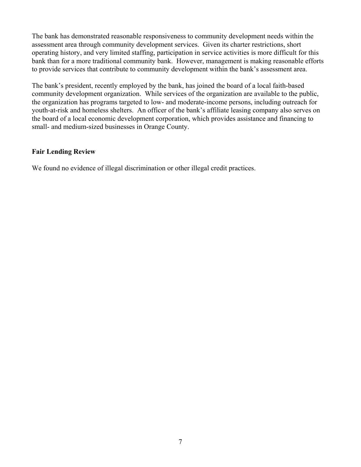The bank has demonstrated reasonable responsiveness to community development needs within the assessment area through community development services. Given its charter restrictions, short operating history, and very limited staffing, participation in service activities is more difficult for this bank than for a more traditional community bank. However, management is making reasonable efforts to provide services that contribute to community development within the bank's assessment area.

The bank's president, recently employed by the bank, has joined the board of a local faith-based community development organization. While services of the organization are available to the public, the organization has programs targeted to low- and moderate-income persons, including outreach for youth-at-risk and homeless shelters. An officer of the bank's affiliate leasing company also serves on the board of a local economic development corporation, which provides assistance and financing to small- and medium-sized businesses in Orange County.

#### **Fair Lending Review**

We found no evidence of illegal discrimination or other illegal credit practices.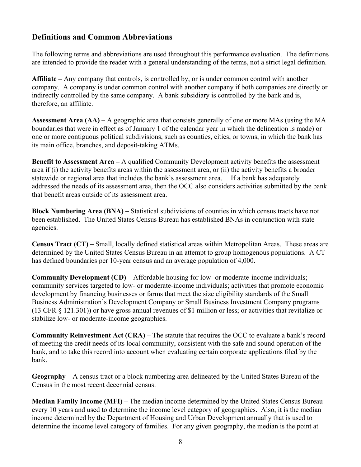# **Definitions and Common Abbreviations**

The following terms and abbreviations are used throughout this performance evaluation. The definitions are intended to provide the reader with a general understanding of the terms, not a strict legal definition.

**Affiliate –** Any company that controls, is controlled by, or is under common control with another company. A company is under common control with another company if both companies are directly or indirectly controlled by the same company. A bank subsidiary is controlled by the bank and is, therefore, an affiliate.

**Assessment Area (AA) –** A geographic area that consists generally of one or more MAs (using the MA boundaries that were in effect as of January 1 of the calendar year in which the delineation is made) or one or more contiguous political subdivisions, such as counties, cities, or towns, in which the bank has its main office, branches, and deposit-taking ATMs.

**Benefit to Assessment Area – A qualified Community Development activity benefits the assessment** area if (i) the activity benefits areas within the assessment area, or (ii) the activity benefits a broader statewide or regional area that includes the bank's assessment area. If a bank has adequately addressed the needs of its assessment area, then the OCC also considers activities submitted by the bank that benefit areas outside of its assessment area.

**Block Numbering Area (BNA) –** Statistical subdivisions of counties in which census tracts have not been established. The United States Census Bureau has established BNAs in conjunction with state agencies.

**Census Tract (CT) –** Small, locally defined statistical areas within Metropolitan Areas. These areas are determined by the United States Census Bureau in an attempt to group homogenous populations. A CT has defined boundaries per 10-year census and an average population of 4,000.

**Community Development (CD) –** Affordable housing for low- or moderate-income individuals; community services targeted to low- or moderate-income individuals; activities that promote economic development by financing businesses or farms that meet the size eligibility standards of the Small Business Administration's Development Company or Small Business Investment Company programs (13 CFR § 121.301)) or have gross annual revenues of \$1 million or less; or activities that revitalize or stabilize low- or moderate-income geographies.

**Community Reinvestment Act (CRA) –** The statute that requires the OCC to evaluate a bank's record of meeting the credit needs of its local community, consistent with the safe and sound operation of the bank, and to take this record into account when evaluating certain corporate applications filed by the bank.

**Geography –** A census tract or a block numbering area delineated by the United States Bureau of the Census in the most recent decennial census.

**Median Family Income (MFI) –** The median income determined by the United States Census Bureau every 10 years and used to determine the income level category of geographies. Also, it is the median income determined by the Department of Housing and Urban Development annually that is used to determine the income level category of families. For any given geography, the median is the point at